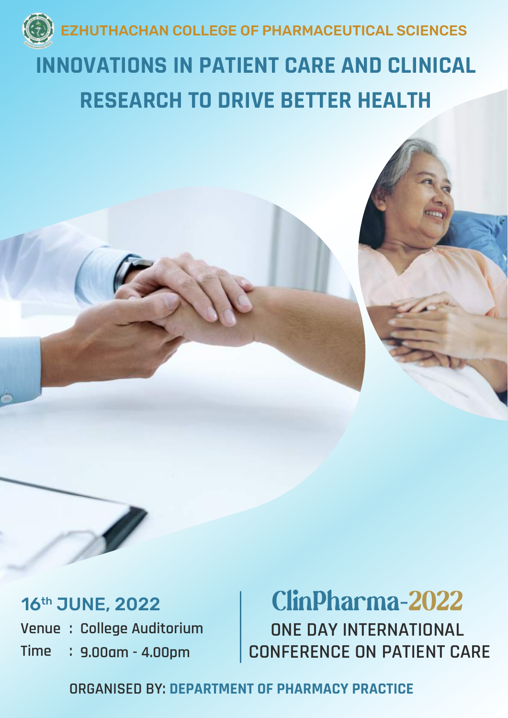

## **INNOVATIONS IN PATIENT CARE AND CLINICAL RESEARCH TO DRIVE BETTER HEALTH**

### 16th JUNE, 2022

**Venue : College Auditorium Time : 9.00am - 4.00pm**

## ClinPharma-2022

**ONE DAY INTERNATIONAL CONFERENCE ON PATIENT CARE**

**ORGANISED BY: DEPARTMENT OF PHARMACY PRACTICE**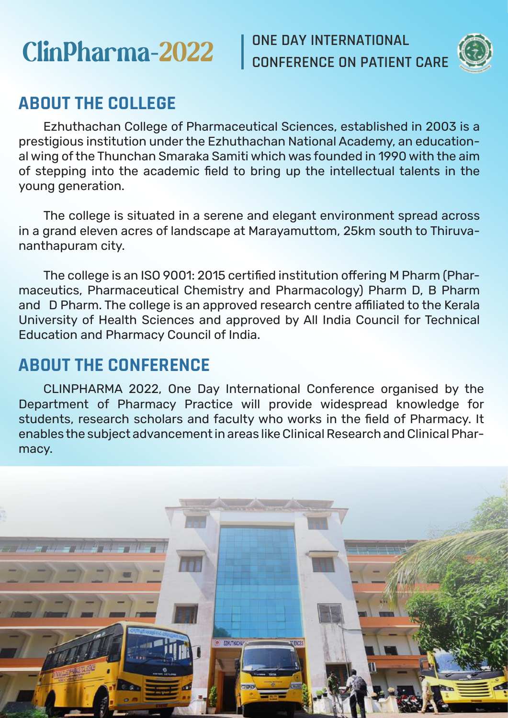# **ClinPharma-2022** CONE DAY INTERNATIONAL

**CONFERENCE ON PATIENT CARE**



## **ABOUT THE COLLEGE**

 Ezhuthachan College of Pharmaceutical Sciences, established in 2003 is a prestigious institution under the Ezhuthachan National Academy, an educational wing of the Thunchan Smaraka Samiti which was founded in 1990 with the aim of stepping into the academic field to bring up the intellectual talents in the young generation.

 The college is situated in a serene and elegant environment spread across in a grand eleven acres of landscape at Marayamuttom, 25km south to Thiruvananthapuram city.

 The college is an ISO 9001: 2015 certified institution offering M Pharm (Pharmaceutics, Pharmaceutical Chemistry and Pharmacology) Pharm D, B Pharm and D Pharm. The college is an approved research centre affiliated to the Kerala University of Health Sciences and approved by All India Council for Technical Education and Pharmacy Council of India.

## **ABOUT THE CONFERENCE**

 CLINPHARMA 2022, One Day International Conference organised by the Department of Pharmacy Practice will provide widespread knowledge for students, research scholars and faculty who works in the field of Pharmacy. It enables the subject advancement in areas like Clinical Research and Clinical Pharmacy.

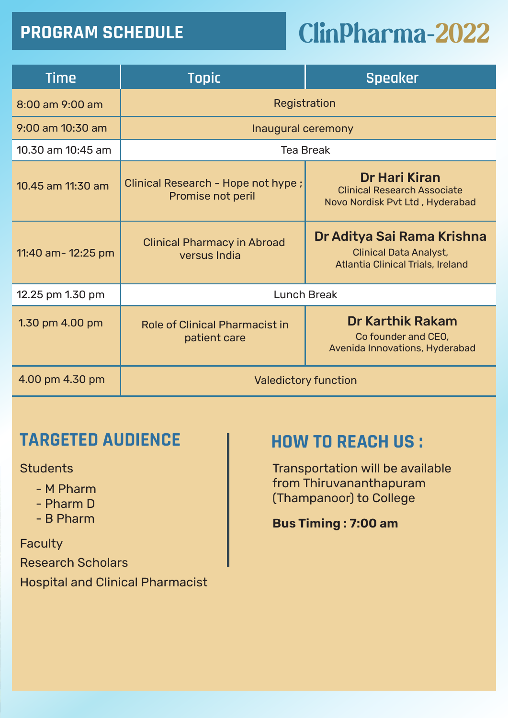# **PROGRAM SCHEDULE ClinPharma-2022**

| <b>Time</b>           | <b>Topic</b>                                                                                                                                           | <b>Speaker</b>                                                                         |  |
|-----------------------|--------------------------------------------------------------------------------------------------------------------------------------------------------|----------------------------------------------------------------------------------------|--|
| 8:00 am 9:00 am       | Registration                                                                                                                                           |                                                                                        |  |
| 9:00 am 10:30 am      | Inaugural ceremony                                                                                                                                     |                                                                                        |  |
| $10.30$ am $10:45$ am | Tea Break                                                                                                                                              |                                                                                        |  |
| 10.45 am 11:30 am     | Clinical Research - Hope not hype;<br>Promise not peril                                                                                                | Dr Hari Kiran<br><b>Clinical Research Associate</b><br>Novo Nordisk Pvt Ltd, Hyderabad |  |
| 11:40 am- 12:25 pm    | Dr Aditya Sai Rama Krishna<br><b>Clinical Pharmacy in Abroad</b><br><b>Clinical Data Analyst,</b><br>versus India<br>Atlantia Clinical Trials, Ireland |                                                                                        |  |
| 12.25 pm 1.30 pm      | Lunch Break                                                                                                                                            |                                                                                        |  |
| 1.30 pm 4.00 pm       | <b>Dr Karthik Rakam</b><br>Role of Clinical Pharmacist in<br>Co founder and CEO.<br>patient care<br>Avenida Innovations, Hyderabad                     |                                                                                        |  |
| 4.00 pm 4.30 pm       | Valedictory function                                                                                                                                   |                                                                                        |  |

### **TARGETED AUDIENCE HOW TO REACH US :**

**Students** 

- M Pharm
- Pharm D
- B Pharm

**Faculty** Research Scholars Hospital and Clinical Pharmacist

Transportation will be available from Thiruvananthapuram (Thampanoor) to College

#### **Bus Timing : 7:00 am**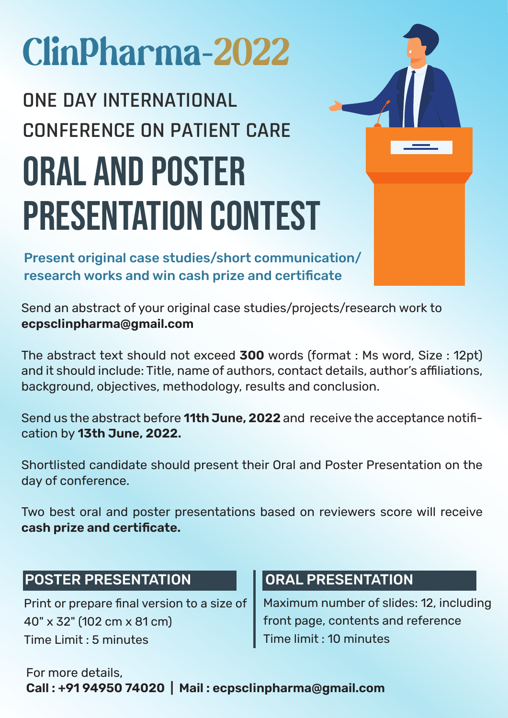# ClinPharma-2022

# **ONE DAY INTERNATIONAL CONFERENCE ON PATIENT CARE** ORAL AND POSTER PRESENTATION CONTEST

Present original case studies/short communication/ research works and win cash prize and certificate

Send an abstract of your original case studies/projects/research work to **ecpsclinpharma@gmail.com**

The abstract text should not exceed **300** words (format : Ms word, Size : 12pt) and it should include: Title, name of authors, contact details, author's affiliations, background, objectives, methodology, results and conclusion.

Send us the abstract before **11th June, 2022** and receive the acceptance notification by **13th June, 2022.**

Shortlisted candidate should present their Oral and Poster Presentation on the day of conference.

Two best oral and poster presentations based on reviewers score will receive **cash prize and certificate.**

#### POSTER PRESENTATION

Print or prepare final version to a size of 40" x 32" (102 cm x 81 cm) Time Limit : 5 minutes

#### ORAL PRESENTATION

Maximum number of slides: 12, including front page, contents and reference Time limit : 10 minutes

#### For more details, **Call : +91 94950 74020 | Mail : ecpsclinpharma@gmail.com**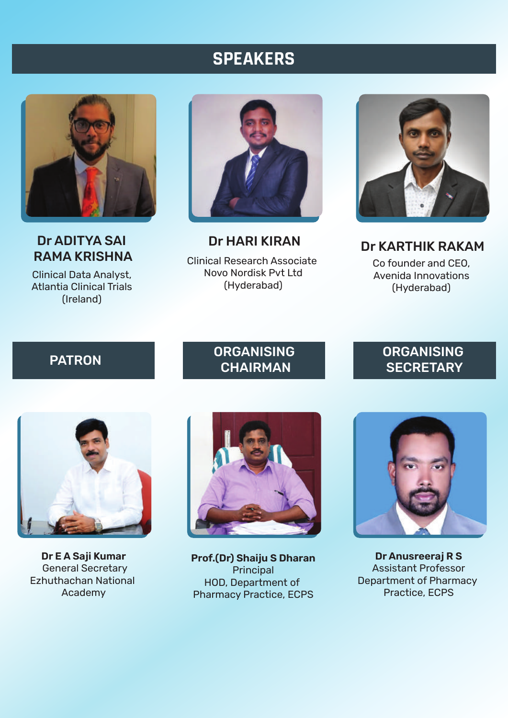#### **SPEAKERS**



Dr ADITYA SAI

Clinical Data Analyst, Atlantia Clinical Trials (Ireland)



Clinical Research Associate Novo Nordisk Pvt Ltd (Hyderabad) Dr HARI KIRAN



Co founder and CEO, Avenida Innovations (Hyderabad) Dr KARTHIK RAKAM

#### PATRON ORGANISING **CHAIRMAN**

#### **ORGANISING SECRETARY**



**Dr E A Saji Kumar** General Secretary Ezhuthachan National Academy



**Prof.(Dr) Shaiju S Dharan Principal** HOD, Department of Pharmacy Practice, ECPS



**Dr Anusreeraj R S** Assistant Professor Department of Pharmacy Practice, ECPS